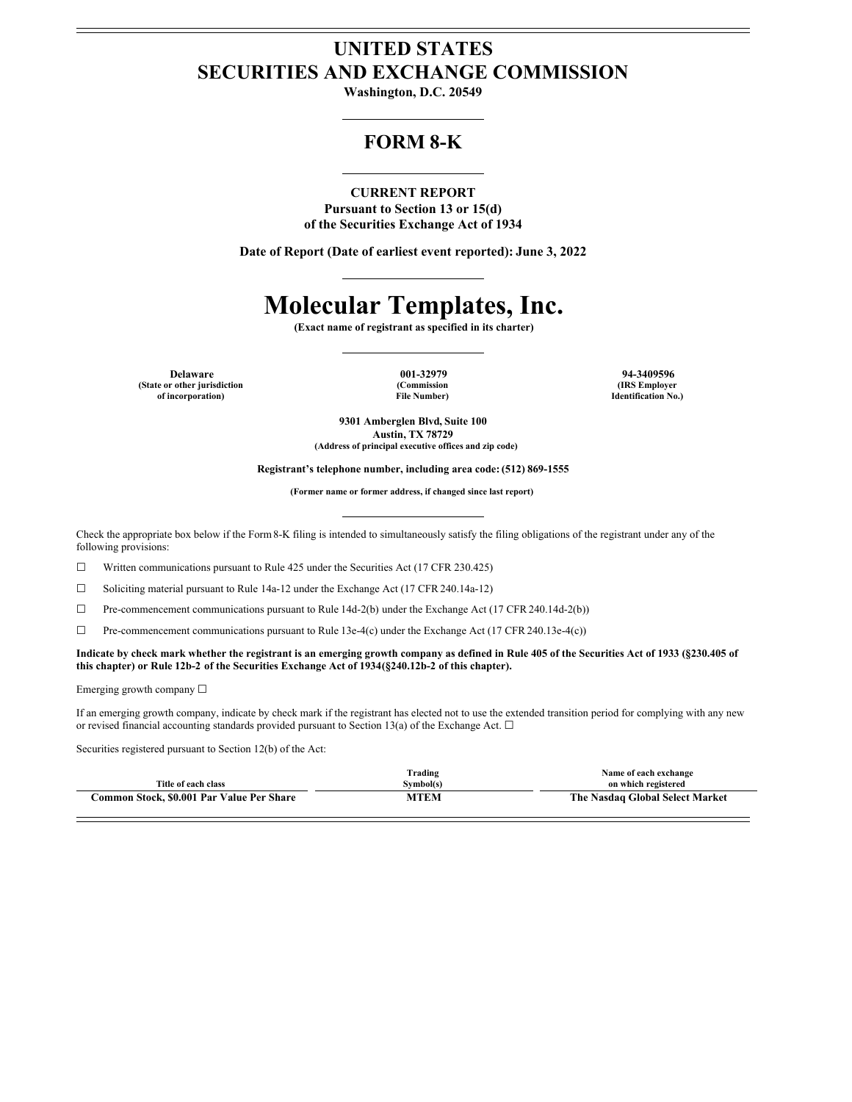# **UNITED STATES SECURITIES AND EXCHANGE COMMISSION**

**Washington, D.C. 20549**

# **FORM 8-K**

## **CURRENT REPORT**

**Pursuant to Section 13 or 15(d) of the Securities Exchange Act of 1934**

**Date of Report (Date of earliest event reported): June 3, 2022**

# **Molecular Templates, Inc.**

**(Exact name of registrant as specified in its charter)**

**Delaware 001-32979 94-3409596 (State or other jurisdiction of incorporation)**

**(Commission File Number)**

**(IRS Employer Identification No.)**

**9301 Amberglen Blvd, Suite 100 Austin, TX 78729 (Address of principal executive offices and zip code)**

**Registrant's telephone number, including area code: (512) 869-1555**

**(Former name or former address, if changed since last report)**

Check the appropriate box below if the Form8-K filing is intended to simultaneously satisfy the filing obligations of the registrant under any of the following provisions:

☐ Written communications pursuant to Rule 425 under the Securities Act (17 CFR 230.425)

☐ Soliciting material pursuant to Rule 14a-12 under the Exchange Act (17 CFR 240.14a-12)

☐ Pre-commencement communications pursuant to Rule 14d-2(b) under the Exchange Act (17 CFR 240.14d-2(b))

□ Pre-commencement communications pursuant to Rule 13e-4(c) under the Exchange Act (17 CFR 240.13e-4(c))

#### Indicate by check mark whether the registrant is an emerging growth company as defined in Rule 405 of the Securities Act of 1933 (§230.405 of **this chapter) or Rule 12b-2 of the Securities Exchange Act of 1934(§240.12b-2 of this chapter).**

Emerging growth company  $\Box$ 

If an emerging growth company, indicate by check mark if the registrant has elected not to use the extended transition period for complying with any new or revised financial accounting standards provided pursuant to Section 13(a) of the Exchange Act.  $\Box$ 

Securities registered pursuant to Section 12(b) of the Act:

| Title of each class                       | Trading<br>Svmbol(s) | Name of each exchange<br>on which registered |  |
|-------------------------------------------|----------------------|----------------------------------------------|--|
| Common Stock, \$0.001 Par Value Per Share | MTEM                 | The Nasdaq Global Select Market              |  |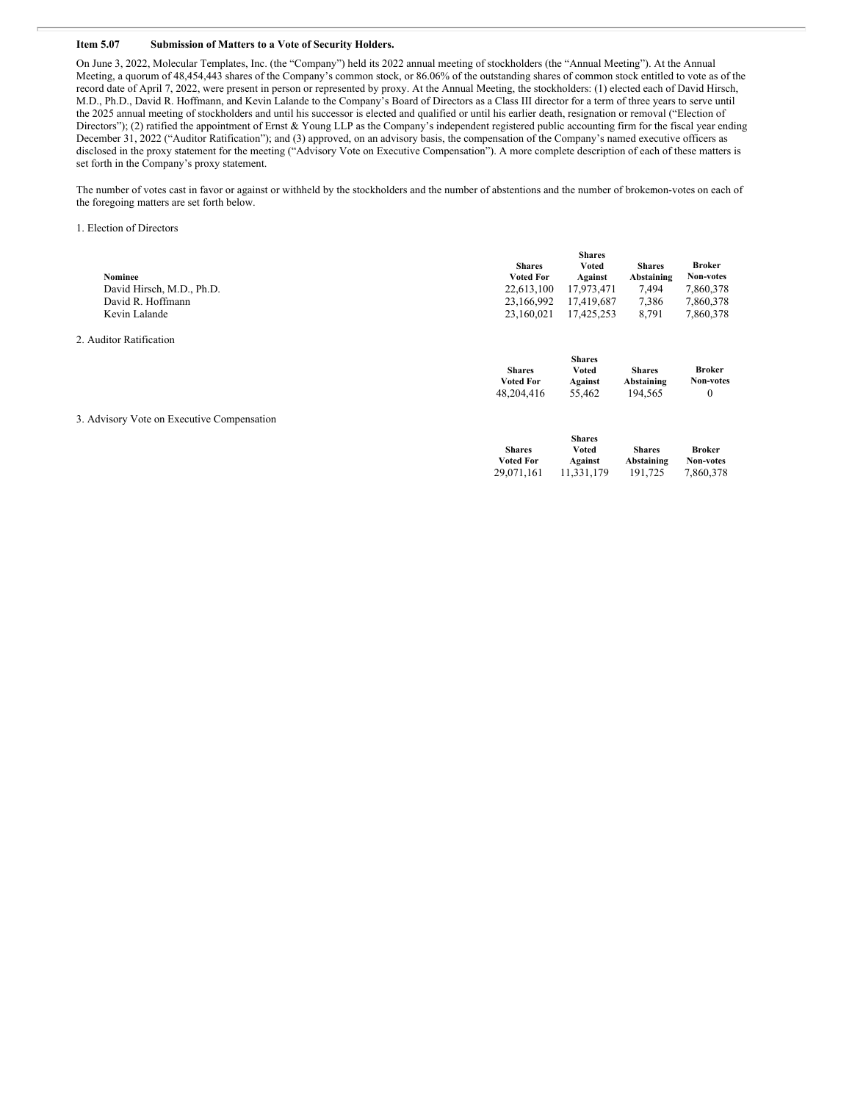#### **Item 5.07 Submission of Matters to a Vote of Security Holders.**

On June 3, 2022, Molecular Templates, Inc. (the "Company") held its 2022 annual meeting of stockholders (the "Annual Meeting"). At the Annual Meeting, a quorum of 48,454,443 shares of the Company's common stock, or 86.06% of the outstanding shares of common stock entitled to vote as of the record date of April 7, 2022, were present in person or represented by proxy. At the Annual Meeting, the stockholders: (1) elected each of David Hirsch, M.D., Ph.D., David R. Hoffmann, and Kevin Lalande to the Company's Board of Directors as a Class III director for a term of three years to serve until the 2025 annual meeting of stockholders and until his successor is elected and qualified or until his earlier death, resignation or removal ("Election of Directors"); (2) ratified the appointment of Ernst & Young LLP as the Company's independent registered public accounting firm for the fiscal year ending December 31, 2022 ("Auditor Ratification"); and (3) approved, on an advisory basis, the compensation of the Company's named executive officers as disclosed in the proxy statement for the meeting ("Advisory Vote on Executive Compensation"). A more complete description of each of these matters is set forth in the Company's proxy statement.

The number of votes cast in favor or against or withheld by the stockholders and the number of abstentions and the number of brokemon-votes on each of the foregoing matters are set forth below.

1. Election of Directors

 $2.4$ 

|                                            | <b>Shares</b>                     |                   |                             |                            |  |
|--------------------------------------------|-----------------------------------|-------------------|-----------------------------|----------------------------|--|
|                                            | <b>Shares</b>                     | Voted             | <b>Shares</b>               | Broker                     |  |
| <b>Nominee</b>                             | <b>Voted For</b>                  | Against           | Abstaining                  | <b>Non-votes</b>           |  |
| David Hirsch, M.D., Ph.D.                  | 22,613,100                        | 17,973,471        | 7,494                       | 7,860,378                  |  |
| David R. Hoffmann                          | 23,166,992                        | 17,419,687        | 7,386                       | 7,860,378                  |  |
| Kevin Lalande                              | 23,160,021                        | 17,425,253        | 8,791                       | 7,860,378                  |  |
| 2. Auditor Ratification                    |                                   |                   |                             |                            |  |
|                                            |                                   | <b>Shares</b>     |                             |                            |  |
|                                            | <b>Shares</b><br><b>Voted For</b> | <b>Voted</b>      | <b>Shares</b><br>Abstaining | <b>Broker</b><br>Non-votes |  |
|                                            | 48,204,416                        | Against<br>55,462 | 194,565                     | $\mathbf{0}$               |  |
|                                            |                                   |                   |                             |                            |  |
| 3. Advisory Vote on Executive Compensation |                                   |                   |                             |                            |  |
|                                            |                                   | <b>Shares</b>     |                             |                            |  |
|                                            | <b>Shares</b>                     | <b>Voted</b>      | <b>Shares</b>               | Broker                     |  |
|                                            | <b>Voted For</b>                  | Against           | Abstaining                  | Non-votes                  |  |
|                                            | 29,071,161                        | 11,331,179        | 191,725                     | 7,860,378                  |  |